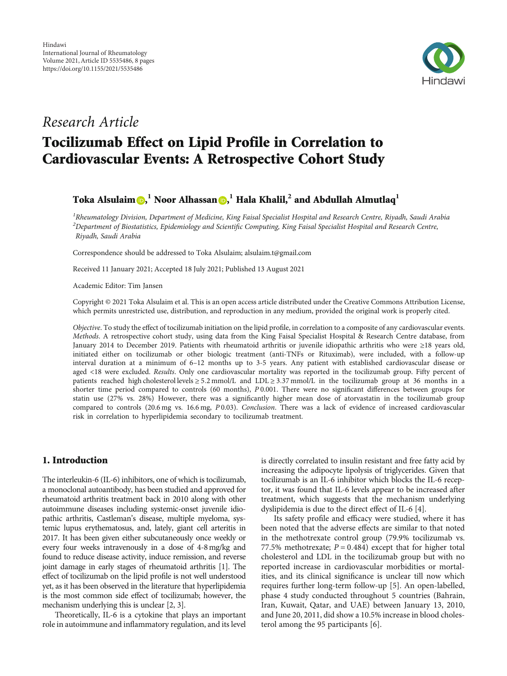

# Research Article

# Tocilizumab Effect on Lipid Profile in Correlation to Cardiovascular Events: A Retrospective Cohort Study

# $\boldsymbol{\Gamma}$ oka Alsulaim $\boldsymbol{\Theta},^1$  $\boldsymbol{\Theta},^1$  $\boldsymbol{\Theta},^1$  Noor Alhassan $\boldsymbol{\Theta},^1$  Hala Khalil, $^2$  and Abdullah Almutlaq $^1$

 $^{\text{1}}$ Rheumatology Division, Department of Medicine, King Faisal Specialist Hospital and Research Centre, Riyadh, Saudi Arabia  $^2$ Department of Biostatistics, Epidemiology and Scientific Computing, King Faisal Specialist Hospital and Research Centre, Riyadh, Saudi Arabia

Correspondence should be addressed to Toka Alsulaim; alsulaim.t@gmail.com

Received 11 January 2021; Accepted 18 July 2021; Published 13 August 2021

Academic Editor: Tim Jansen

Copyright © 2021 Toka Alsulaim et al. This is an open access article distributed under the [Creative Commons Attribution License](https://creativecommons.org/licenses/by/4.0/), which permits unrestricted use, distribution, and reproduction in any medium, provided the original work is properly cited.

Objective. To study the effect of tocilizumab initiation on the lipid profile, in correlation to a composite of any cardiovascular events. Methods. A retrospective cohort study, using data from the King Faisal Specialist Hospital & Research Centre database, from January 2014 to December 2019. Patients with rheumatoid arthritis or juvenile idiopathic arthritis who were ≥18 years old, initiated either on tocilizumab or other biologic treatment (anti-TNFs or Rituximab), were included, with a follow-up interval duration at a minimum of 6–12 months up to 3-5 years. Any patient with established cardiovascular disease or aged <18 were excluded. Results. Only one cardiovascular mortality was reported in the tocilizumab group. Fifty percent of patients reached high cholesterol levels ≥ 5*:*2 mmol/L and LDL ≥ 3*:*37 mmol/L in the tocilizumab group at 36 months in a shorter time period compared to controls (60 months), *P* 0.001. There were no significant differences between groups for statin use (27% vs. 28%) However, there was a significantly higher mean dose of atorvastatin in the tocilizumab group compared to controls (20.6 mg vs. 16.6 mg, *P* 0.03). Conclusion. There was a lack of evidence of increased cardiovascular risk in correlation to hyperlipidemia secondary to tocilizumab treatment.

# 1. Introduction

The interleukin-6 (IL-6) inhibitors, one of which is tocilizumab, a monoclonal autoantibody, has been studied and approved for rheumatoid arthritis treatment back in 2010 along with other autoimmune diseases including systemic-onset juvenile idiopathic arthritis, Castleman's disease, multiple myeloma, systemic lupus erythematosus, and, lately, giant cell arteritis in 2017. It has been given either subcutaneously once weekly or every four weeks intravenously in a dose of 4-8mg/kg and found to reduce disease activity, induce remission, and reverse joint damage in early stages of rheumatoid arthritis [\[1\]](#page-6-0). The effect of tocilizumab on the lipid profile is not well understood yet, as it has been observed in the literature that hyperlipidemia is the most common side effect of tocilizumab; however, the mechanism underlying this is unclear [\[2, 3](#page-6-0)].

Theoretically, IL-6 is a cytokine that plays an important role in autoimmune and inflammatory regulation, and its level

is directly correlated to insulin resistant and free fatty acid by increasing the adipocyte lipolysis of triglycerides. Given that tocilizumab is an IL-6 inhibitor which blocks the IL-6 receptor, it was found that IL-6 levels appear to be increased after treatment, which suggests that the mechanism underlying dyslipidemia is due to the direct effect of IL-6 [\[4](#page-6-0)].

Its safety profile and efficacy were studied, where it has been noted that the adverse effects are similar to that noted in the methotrexate control group (79.9% tocilizumab vs. 77.5% methotrexate;  $P = 0.484$ ) except that for higher total cholesterol and LDL in the tocilizumab group but with no reported increase in cardiovascular morbidities or mortalities, and its clinical significance is unclear till now which requires further long-term follow-up [[5](#page-6-0)]. An open-labelled, phase 4 study conducted throughout 5 countries (Bahrain, Iran, Kuwait, Qatar, and UAE) between January 13, 2010, and June 20, 2011, did show a 10.5% increase in blood cholesterol among the 95 participants [\[6](#page-6-0)].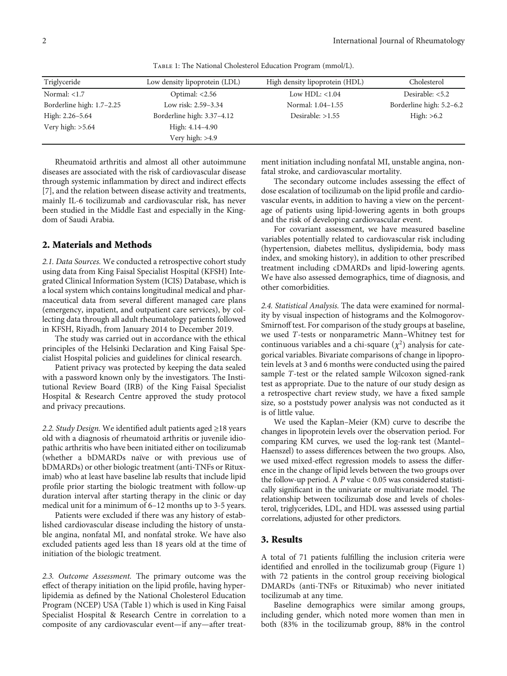Triglyceride Low density lipoprotein (LDL) High density lipoprotein (HDL) Cholesterol Normal: <1.7 Optimal: <2.56 Low HDL: <1.04 Desirable: <5.2 Borderline high: 1.7–2.25 Low risk: 2.59–3.34 Normal: 1.04–1.55 Borderline high: 5.2–6.2 High: 2.26–5.64 Borderline high: 3.37–4.12 Desirable: >1.55 High: >6.2 Very high: >5.64 High: 4.14-4.90 Very high: >4.9

Table 1: The National Cholesterol Education Program (mmol/L).

Rheumatoid arthritis and almost all other autoimmune diseases are associated with the risk of cardiovascular disease through systemic inflammation by direct and indirect effects [\[7](#page-6-0)], and the relation between disease activity and treatments, mainly IL-6 tocilizumab and cardiovascular risk, has never been studied in the Middle East and especially in the Kingdom of Saudi Arabia.

# 2. Materials and Methods

2.1. Data Sources. We conducted a retrospective cohort study using data from King Faisal Specialist Hospital (KFSH) Integrated Clinical Information System (ICIS) Database, which is a local system which contains longitudinal medical and pharmaceutical data from several different managed care plans (emergency, inpatient, and outpatient care services), by collecting data through all adult rheumatology patients followed in KFSH, Riyadh, from January 2014 to December 2019.

The study was carried out in accordance with the ethical principles of the Helsinki Declaration and King Faisal Specialist Hospital policies and guidelines for clinical research.

Patient privacy was protected by keeping the data sealed with a password known only by the investigators. The Institutional Review Board (IRB) of the King Faisal Specialist Hospital & Research Centre approved the study protocol and privacy precautions.

2.2. Study Design. We identified adult patients aged ≥18 years old with a diagnosis of rheumatoid arthritis or juvenile idiopathic arthritis who have been initiated either on tocilizumab (whether a bDMARDs naïve or with previous use of bDMARDs) or other biologic treatment (anti-TNFs or Rituximab) who at least have baseline lab results that include lipid profile prior starting the biologic treatment with follow-up duration interval after starting therapy in the clinic or day medical unit for a minimum of 6–12 months up to 3-5 years.

Patients were excluded if there was any history of established cardiovascular disease including the history of unstable angina, nonfatal MI, and nonfatal stroke. We have also excluded patients aged less than 18 years old at the time of initiation of the biologic treatment.

2.3. Outcome Assessment. The primary outcome was the effect of therapy initiation on the lipid profile, having hyperlipidemia as defined by the National Cholesterol Education Program (NCEP) USA (Table 1) which is used in King Faisal Specialist Hospital & Research Centre in correlation to a composite of any cardiovascular event—if any—after treatment initiation including nonfatal MI, unstable angina, nonfatal stroke, and cardiovascular mortality.

The secondary outcome includes assessing the effect of dose escalation of tocilizumab on the lipid profile and cardiovascular events, in addition to having a view on the percentage of patients using lipid-lowering agents in both groups and the risk of developing cardiovascular event.

For covariant assessment, we have measured baseline variables potentially related to cardiovascular risk including (hypertension, diabetes mellitus, dyslipidemia, body mass index, and smoking history), in addition to other prescribed treatment including cDMARDs and lipid-lowering agents. We have also assessed demographics, time of diagnosis, and other comorbidities.

2.4. Statistical Analysis. The data were examined for normality by visual inspection of histograms and the Kolmogorov-Smirnoff test. For comparison of the study groups at baseline, we used *T*-tests or nonparametric Mann–Whitney test for continuous variables and a chi-square  $(\chi^2)$  analysis for categorical variables. Bivariate comparisons of change in lipoprotein levels at 3 and 6 months were conducted using the paired sample *T*-test or the related sample Wilcoxon signed-rank test as appropriate. Due to the nature of our study design as a retrospective chart review study, we have a fixed sample size, so a poststudy power analysis was not conducted as it is of little value.

We used the Kaplan–Meier (KM) curve to describe the changes in lipoprotein levels over the observation period. For comparing KM curves, we used the log-rank test (Mantel– Haenszel) to assess differences between the two groups. Also, we used mixed-effect regression models to assess the difference in the change of lipid levels between the two groups over the follow-up period. A *P* value < 0.05 was considered statistically significant in the univariate or multivariate model. The relationship between tocilizumab dose and levels of cholesterol, triglycerides, LDL, and HDL was assessed using partial correlations, adjusted for other predictors.

#### 3. Results

A total of 71 patients fulfilling the inclusion criteria were identified and enrolled in the tocilizumab group (Figure [1\)](#page-2-0) with 72 patients in the control group receiving biological DMARDs (anti-TNFs or Rituximab) who never initiated tocilizumab at any time.

Baseline demographics were similar among groups, including gender, which noted more women than men in both (83% in the tocilizumab group, 88% in the control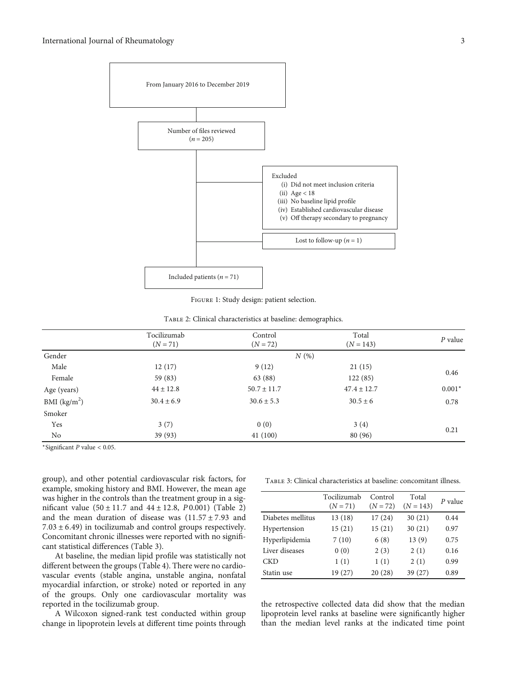<span id="page-2-0"></span>

Figure 1: Study design: patient selection.

|  |  |  | TABLE 2: Clinical characteristics at baseline: demographics. |  |
|--|--|--|--------------------------------------------------------------|--|
|  |  |  |                                                              |  |

|               | Tocilizumab    | Control<br>$(N = 72)$ | Total<br>$(N = 143)$ | $P$ value |
|---------------|----------------|-----------------------|----------------------|-----------|
|               | $(N = 71)$     |                       |                      |           |
| Gender        |                | N(%)                  |                      |           |
| Male          | 12(17)         | 9(12)                 | 21(15)               |           |
| Female        | 59 (83)        | 63 (88)               | 122(85)              | 0.46      |
| Age (years)   | $44 \pm 12.8$  | $50.7 \pm 11.7$       | $47.4 \pm 12.7$      | $0.001*$  |
| BMI $(kg/m2)$ | $30.4 \pm 6.9$ | $30.6 \pm 5.3$        | $30.5 \pm 6$         | 0.78      |
| Smoker        |                |                       |                      |           |
| Yes           | 3(7)           | 0(0)                  | 3(4)                 | 0.21      |
| No            | 39 (93)        | 41(100)               | 80 (96)              |           |

<sup>∗</sup>Significant *P* value < 0.05.

group), and other potential cardiovascular risk factors, for example, smoking history and BMI. However, the mean age was higher in the controls than the treatment group in a significant value (50 ± 11*:*7 and 44 ± 12*:*8, *P* 0.001) (Table 2) and the mean duration of disease was (11*:*57 ± 7*:*93 and 7*:*03 ± 6*:*49) in tocilizumab and control groups respectively. Concomitant chronic illnesses were reported with no significant statistical differences (Table 3).

At baseline, the median lipid profile was statistically not different between the groups (Table [4](#page-3-0)). There were no cardiovascular events (stable angina, unstable angina, nonfatal myocardial infarction, or stroke) noted or reported in any of the groups. Only one cardiovascular mortality was reported in the tocilizumab group.

A Wilcoxon signed-rank test conducted within group change in lipoprotein levels at different time points through

Table 3: Clinical characteristics at baseline: concomitant illness.

|                   | Tocilizumab<br>$(N = 71)$ | Control<br>$(N = 72)$ | Total<br>$(N = 143)$ | P value |
|-------------------|---------------------------|-----------------------|----------------------|---------|
| Diabetes mellitus | 13(18)                    | 17(24)                | 30(21)               | 0.44    |
| Hypertension      | 15(21)                    | 15(21)                | 30(21)               | 0.97    |
| Hyperlipidemia    | 7(10)                     | 6(8)                  | 13(9)                | 0.75    |
| Liver diseases    | 0(0)                      | 2(3)                  | 2(1)                 | 0.16    |
| CKD               | 1(1)                      | 1(1)                  | 2(1)                 | 0.99    |
| Statin use        | 19 (27)                   | 20(28)                | 39(27)               | 0.89    |

the retrospective collected data did show that the median lipoprotein level ranks at baseline were significantly higher than the median level ranks at the indicated time point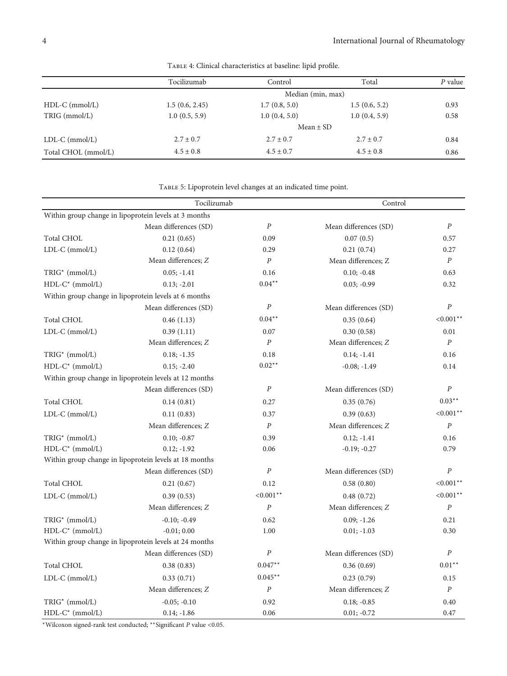<span id="page-3-0"></span>

|                     | Tocilizumab    | Control           | Total         | $P$ value |  |
|---------------------|----------------|-------------------|---------------|-----------|--|
|                     |                | Median (min, max) |               |           |  |
| $HDL-C$ (mmol/L)    | 1.5(0.6, 2.45) | 1.7(0.8, 5.0)     | 1.5(0.6, 5.2) | 0.93      |  |
| TRIG (mmol/L)       | 1.0(0.5, 5.9)  | 1.0(0.4, 5.0)     | 1.0(0.4, 5.9) | 0.58      |  |
|                     | Mean $\pm$ SD  |                   |               |           |  |
| $LDL-C (mmol/L)$    | $2.7 \pm 0.7$  | $2.7 \pm 0.7$     | $2.7 \pm 0.7$ | 0.84      |  |
| Total CHOL (mmol/L) | $4.5 \pm 0.8$  | $4.5 \pm 0.7$     | $4.5 \pm 0.8$ | 0.86      |  |

Table 4: Clinical characteristics at baseline: lipid profile.

Table 5: Lipoprotein level changes at an indicated time point.

|                            | Tocilizumab<br>Control                                 |                  |                       |                  |
|----------------------------|--------------------------------------------------------|------------------|-----------------------|------------------|
|                            | Within group change in lipoprotein levels at 3 months  |                  |                       |                  |
|                            | Mean differences (SD)                                  | $\boldsymbol{P}$ | Mean differences (SD) | $\boldsymbol{P}$ |
| <b>Total CHOL</b>          | 0.21(0.65)                                             | 0.09             | 0.07(0.5)             | 0.57             |
| LDL-C (mmol/L)             | 0.12(0.64)                                             | 0.29             | 0.21(0.74)            | 0.27             |
|                            | Mean differences; Z                                    | $\cal P$         | Mean differences; Z   | $\boldsymbol{P}$ |
| TRIG <sup>*</sup> (mmol/L) | $0.05; -1.41$                                          | 0.16             | $0.10; -0.48$         | 0.63             |
| $HDL-C^*$ (mmol/L)         | $0.13; -2.01$                                          | $0.04**$         | $0.03; -0.99$         | 0.32             |
|                            | Within group change in lipoprotein levels at 6 months  |                  |                       |                  |
|                            | Mean differences (SD)                                  | $\cal P$         | Mean differences (SD) | $\boldsymbol{P}$ |
| <b>Total CHOL</b>          | 0.46(1.13)                                             | $0.04**$         | 0.35(0.64)            | $< 0.001$ **     |
| LDL-C (mmol/L)             | 0.39(1.11)                                             | 0.07             | 0.30(0.58)            | 0.01             |
|                            | Mean differences; Z                                    | $\boldsymbol{P}$ | Mean differences; Z   | $\boldsymbol{P}$ |
| TRIG <sup>*</sup> (mmol/L) | $0.18; -1.35$                                          | 0.18             | $0.14; -1.41$         | 0.16             |
| HDL-C* (mmol/L)            | $0.15; -2.40$                                          | $0.02**$         | $-0.08; -1.49$        | 0.14             |
|                            | Within group change in lipoprotein levels at 12 months |                  |                       |                  |
|                            | Mean differences (SD)                                  | $\cal P$         | Mean differences (SD) | $\boldsymbol{P}$ |
| Total CHOL                 | 0.14(0.81)                                             | 0.27             | 0.35(0.76)            | $0.03**$         |
| LDL-C (mmol/L)             | 0.11(0.83)                                             | 0.37             | 0.39(0.63)            | $< 0.001$ **     |
|                            | Mean differences; Z                                    | $\boldsymbol{P}$ | Mean differences; Z   | $\boldsymbol{P}$ |
| TRIG* (mmol/L)             | $0.10; -0.87$                                          | 0.39             | $0.12; -1.41$         | 0.16             |
| $HDL-C^*$ (mmol/L)         | $0.12; -1.92$                                          | 0.06             | $-0.19; -0.27$        | 0.79             |
|                            | Within group change in lipoprotein levels at 18 months |                  |                       |                  |
|                            | Mean differences (SD)                                  | $\boldsymbol{P}$ | Mean differences (SD) | $\boldsymbol{P}$ |
| <b>Total CHOL</b>          | 0.21(0.67)                                             | 0.12             | 0.58(0.80)            | $< 0.001$ **     |
| LDL-C (mmol/L)             | 0.39(0.53)                                             | $< 0.001$ **     | 0.48(0.72)            | $< 0.001$ **     |
|                            | Mean differences; Z                                    | $\boldsymbol{P}$ | Mean differences; Z   | $\cal P$         |
| TRIG <sup>*</sup> (mmol/L) | $-0.10; -0.49$                                         | 0.62             | $0.09; -1.26$         | 0.21             |
| $HDL-C^*$ (mmol/L)         | $-0.01; 0.00$                                          | 1.00             | $0.01; -1.03$         | 0.30             |
|                            | Within group change in lipoprotein levels at 24 months |                  |                       |                  |
|                            | Mean differences (SD)                                  | $\cal P$         | Mean differences (SD) | $\boldsymbol{P}$ |
| <b>Total CHOL</b>          | 0.38(0.83)                                             | $0.047**$        | 0.36(0.69)            | $0.01**$         |
| LDL-C (mmol/L)             | 0.33(0.71)                                             | $0.045**$        | 0.23(0.79)            | 0.15             |
|                            | Mean differences; Z                                    | $\boldsymbol{P}$ | Mean differences; Z   | $\boldsymbol{P}$ |
| TRIG* (mmol/L)             | $-0.05; -0.10$                                         | 0.92             | $0.18; -0.85$         | 0.40             |
| $HDL-C^*$ (mmol/L)         | $0.14; -1.86$                                          | 0.06             | $0.01; -0.72$         | 0.47             |

<sup>∗</sup>Wilcoxon signed-rank test conducted; ∗∗Significant *P* value <0.05.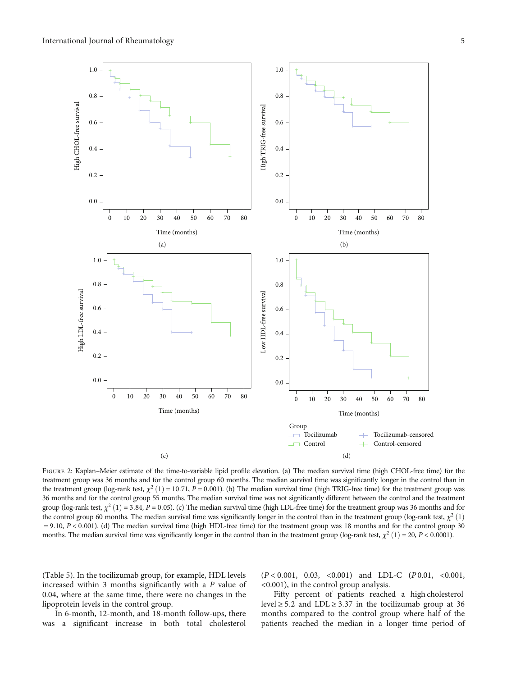<span id="page-4-0"></span>

FIGURE 2: Kaplan–Meier estimate of the time-to-variable lipid profile elevation. (a) The median survival time (high CHOL-free time) for the treatment group was 36 months and for the control group 60 months. The median survival time was significantly longer in the control than in the treatment group (log-rank test,  $\chi^2$  (1) = 10.71, *P* = 0.001). (b) The median survival time (high TRIG-free time) for the treatment group was 36 months and for the control group 55 months. The median survival time was not significantly different between the control and the treatment group (log-rank test,  $\chi^2$  (1) = 3.84, *P* = 0.05). (c) The median survival time (high LDL-free time) for the treatment group was 36 months and for the control group 60 months. The median survival time was significantly longer in the control than in the treatment group (log-rank test,  $\chi^2$  (1) = 9*:*10, *P* < 0*:*001). (d) The median survival time (high HDL-free time) for the treatment group was 18 months and for the control group 30 months. The median survival time was significantly longer in the control than in the treatment group (log-rank test,  $\chi^2$  (1) = 20, *P* < 0.0001).

(Table [5\)](#page-3-0). In the tocilizumab group, for example, HDL levels increased within 3 months significantly with a *P* value of 0.04, where at the same time, there were no changes in the lipoprotein levels in the control group.

In 6-month, 12-month, and 18-month follow-ups, there was a significant increase in both total cholesterol

(*P* < 0*:*001, 0.03, <0.001) and LDL-C (*P* 0.01, <0.001, <0.001), in the control group analysis.

Fifty percent of patients reached a high cholesterol level  $\geq$  5.2 and LDL  $\geq$  3.37 in the tocilizumab group at 36 months compared to the control group where half of the patients reached the median in a longer time period of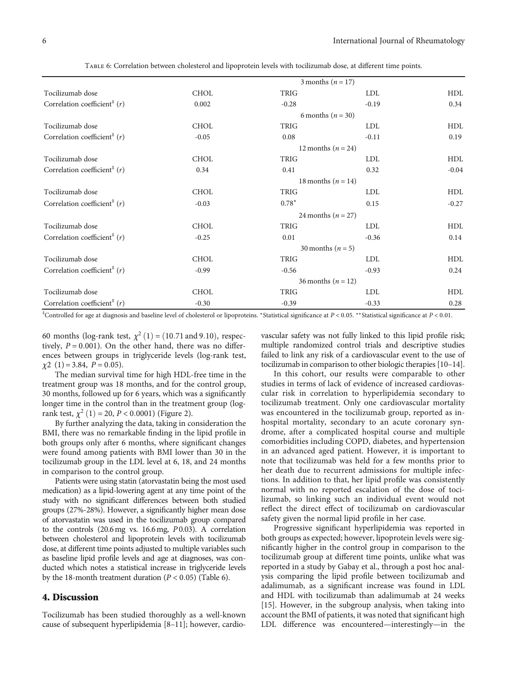|                                            |                        | 3 months ( $n = 17$ ) |            |            |  |
|--------------------------------------------|------------------------|-----------------------|------------|------------|--|
| Tocilizumab dose                           | <b>CHOL</b>            | TRIG                  | LDL        | <b>HDL</b> |  |
| Correlation coefficient <sup>#</sup> $(r)$ | 0.002                  | $-0.28$               | $-0.19$    | 0.34       |  |
|                                            |                        | 6 months $(n = 30)$   |            |            |  |
| Tocilizumab dose                           | <b>CHOL</b>            | <b>TRIG</b>           | <b>LDL</b> | HDL        |  |
| Correlation coefficient <sup>#</sup> $(r)$ | $-0.05$                | 0.08                  | $-0.11$    | 0.19       |  |
|                                            | 12 months $(n = 24)$   |                       |            |            |  |
| Tocilizumab dose                           | <b>CHOL</b>            | <b>TRIG</b>           | <b>LDL</b> | HDL        |  |
| Correlation coefficient <sup>#</sup> $(r)$ | 0.34                   | 0.41                  | 0.32       | $-0.04$    |  |
|                                            | 18 months ( $n = 14$ ) |                       |            |            |  |
| Tocilizumab dose                           | <b>CHOL</b>            | <b>TRIG</b>           | <b>LDL</b> | HDL        |  |
| Correlation coefficient <sup>#</sup> $(r)$ | $-0.03$                | $0.78*$               | 0.15       | $-0.27$    |  |
|                                            | 24 months $(n = 27)$   |                       |            |            |  |
| Tocilizumab dose                           | <b>CHOL</b>            | <b>TRIG</b>           | <b>LDL</b> | HDL        |  |
| Correlation coefficient <sup>#</sup> $(r)$ | $-0.25$                | 0.01                  | $-0.36$    | 0.14       |  |
|                                            | 30 months ( $n = 5$ )  |                       |            |            |  |
| Tocilizumab dose                           | <b>CHOL</b>            | <b>TRIG</b>           | <b>LDL</b> | HDL        |  |
| Correlation coefficient <sup>#</sup> $(r)$ | $-0.99$                | $-0.56$               | $-0.93$    | 0.24       |  |
|                                            | 36 months $(n = 12)$   |                       |            |            |  |
| Tocilizumab dose                           | <b>CHOL</b>            | TRIG                  | <b>LDL</b> | HDL        |  |
| Correlation coefficient <sup>#</sup> $(r)$ | $-0.30$                | $-0.39$               | $-0.33$    | 0.28       |  |

Table 6: Correlation between cholesterol and lipoprotein levels with tocilizumab dose, at different time points.

‡ Controlled for age at diagnosis and baseline level of cholesterol or lipoproteins. <sup>∗</sup>Statistical significance at *P* < 0*:*05. ∗∗Statistical significance at *P* < 0*:*01.

60 months (log-rank test,  $\chi^2$  (1) = (10.71 and 9.10), respectively,  $P = 0.001$ ). On the other hand, there was no differences between groups in triglyceride levels (log-rank test, *χ*2 (1) = 3.84, *P* = 0*:*05).

The median survival time for high HDL-free time in the treatment group was 18 months, and for the control group, 30 months, followed up for 6 years, which was a significantly longer time in the control than in the treatment group (logrank test,  $\chi^2$  (1) = 20, *P* < 0.0001) (Figure [2\)](#page-4-0).

By further analyzing the data, taking in consideration the BMI, there was no remarkable finding in the lipid profile in both groups only after 6 months, where significant changes were found among patients with BMI lower than 30 in the tocilizumab group in the LDL level at 6, 18, and 24 months in comparison to the control group.

Patients were using statin (atorvastatin being the most used medication) as a lipid-lowering agent at any time point of the study with no significant differences between both studied groups (27%-28%). However, a significantly higher mean dose of atorvastatin was used in the tocilizumab group compared to the controls (20.6mg vs. 16.6mg, *P* 0.03). A correlation between cholesterol and lipoprotein levels with tocilizumab dose, at different time points adjusted to multiple variables such as baseline lipid profile levels and age at diagnoses, was conducted which notes a statistical increase in triglyceride levels by the 18-month treatment duration  $(P < 0.05)$  (Table 6).

#### 4. Discussion

Tocilizumab has been studied thoroughly as a well-known cause of subsequent hyperlipidemia [\[8](#page-6-0)–[11](#page-7-0)]; however, cardiovascular safety was not fully linked to this lipid profile risk; multiple randomized control trials and descriptive studies failed to link any risk of a cardiovascular event to the use of tocilizumab in comparison to other biologic therapies [[10](#page-7-0)–[14](#page-7-0)].

In this cohort, our results were comparable to other studies in terms of lack of evidence of increased cardiovascular risk in correlation to hyperlipidemia secondary to tocilizumab treatment. Only one cardiovascular mortality was encountered in the tocilizumab group, reported as inhospital mortality, secondary to an acute coronary syndrome, after a complicated hospital course and multiple comorbidities including COPD, diabetes, and hypertension in an advanced aged patient. However, it is important to note that tocilizumab was held for a few months prior to her death due to recurrent admissions for multiple infections. In addition to that, her lipid profile was consistently normal with no reported escalation of the dose of tocilizumab, so linking such an individual event would not reflect the direct effect of tocilizumab on cardiovascular safety given the normal lipid profile in her case.

Progressive significant hyperlipidemia was reported in both groups as expected; however, lipoprotein levels were significantly higher in the control group in comparison to the tocilizumab group at different time points, unlike what was reported in a study by Gabay et al., through a post hoc analysis comparing the lipid profile between tocilizumab and adalimumab, as a significant increase was found in LDL and HDL with tocilizumab than adalimumab at 24 weeks [\[15\]](#page-7-0). However, in the subgroup analysis, when taking into account the BMI of patients, it was noted that significant high LDL difference was encountered—interestingly—in the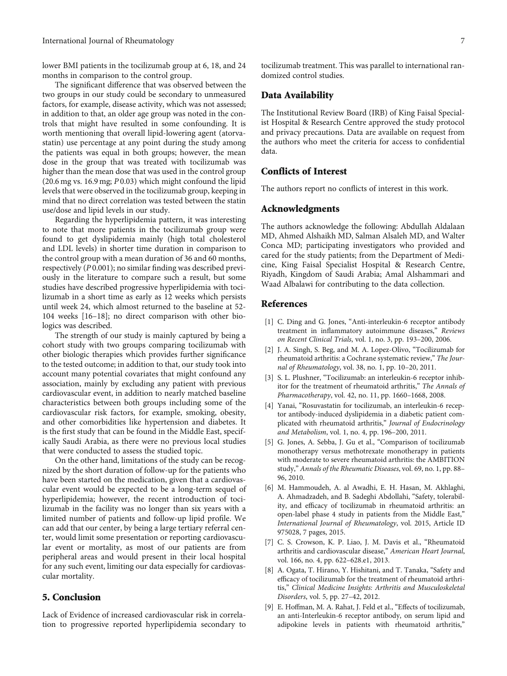<span id="page-6-0"></span>lower BMI patients in the tocilizumab group at 6, 18, and 24 months in comparison to the control group.

The significant difference that was observed between the two groups in our study could be secondary to unmeasured factors, for example, disease activity, which was not assessed; in addition to that, an older age group was noted in the controls that might have resulted in some confounding. It is worth mentioning that overall lipid-lowering agent (atorvastatin) use percentage at any point during the study among the patients was equal in both groups; however, the mean dose in the group that was treated with tocilizumab was higher than the mean dose that was used in the control group (20.6 mg vs. 16.9 mg; *P* 0.03) which might confound the lipid levels that were observed in the tocilizumab group, keeping in mind that no direct correlation was tested between the statin use/dose and lipid levels in our study.

Regarding the hyperlipidemia pattern, it was interesting to note that more patients in the tocilizumab group were found to get dyslipidemia mainly (high total cholesterol and LDL levels) in shorter time duration in comparison to the control group with a mean duration of 36 and 60 months, respectively (*P* 0.001); no similar finding was described previously in the literature to compare such a result, but some studies have described progressive hyperlipidemia with tocilizumab in a short time as early as 12 weeks which persists until week 24, which almost returned to the baseline at 52- 104 weeks [[16](#page-7-0)–[18](#page-7-0)]; no direct comparison with other biologics was described.

The strength of our study is mainly captured by being a cohort study with two groups comparing tocilizumab with other biologic therapies which provides further significance to the tested outcome; in addition to that, our study took into account many potential covariates that might confound any association, mainly by excluding any patient with previous cardiovascular event, in addition to nearly matched baseline characteristics between both groups including some of the cardiovascular risk factors, for example, smoking, obesity, and other comorbidities like hypertension and diabetes. It is the first study that can be found in the Middle East, specifically Saudi Arabia, as there were no previous local studies that were conducted to assess the studied topic.

On the other hand, limitations of the study can be recognized by the short duration of follow-up for the patients who have been started on the medication, given that a cardiovascular event would be expected to be a long-term sequel of hyperlipidemia; however, the recent introduction of tocilizumab in the facility was no longer than six years with a limited number of patients and follow-up lipid profile. We can add that our center, by being a large tertiary referral center, would limit some presentation or reporting cardiovascular event or mortality, as most of our patients are from peripheral areas and would present in their local hospital for any such event, limiting our data especially for cardiovascular mortality.

# 5. Conclusion

Lack of Evidence of increased cardiovascular risk in correlation to progressive reported hyperlipidemia secondary to tocilizumab treatment. This was parallel to international randomized control studies.

### Data Availability

The Institutional Review Board (IRB) of King Faisal Specialist Hospital & Research Centre approved the study protocol and privacy precautions. Data are available on request from the authors who meet the criteria for access to confidential data.

# Conflicts of Interest

The authors report no conflicts of interest in this work.

#### Acknowledgments

The authors acknowledge the following: Abdullah Aldalaan MD, Ahmed Alshaikh MD, Salman Alsaleh MD, and Walter Conca MD; participating investigators who provided and cared for the study patients; from the Department of Medicine, King Faisal Specialist Hospital & Research Centre, Riyadh, Kingdom of Saudi Arabia; Amal Alshammari and Waad Albalawi for contributing to the data collection.

### References

- [1] C. Ding and G. Jones, "Anti-interleukin-6 receptor antibody treatment in inflammatory autoimmune diseases," Reviews on Recent Clinical Trials, vol. 1, no. 3, pp. 193–200, 2006.
- [2] J. A. Singh, S. Beg, and M. A. Lopez-Olivo, "Tocilizumab for rheumatoid arthritis: a Cochrane systematic review," The Journal of Rheumatology, vol. 38, no. 1, pp. 10–20, 2011.
- [3] S. L. Plushner, "Tocilizumab: an interleukin-6 receptor inhibitor for the treatment of rheumatoid arthritis," The Annals of Pharmacotherapy, vol. 42, no. 11, pp. 1660–1668, 2008.
- [4] Yanai, "Rosuvastatin for tocilizumab, an interleukin-6 receptor antibody-induced dyslipidemia in a diabetic patient complicated with rheumatoid arthritis," Journal of Endocrinology and Metabolism, vol. 1, no. 4, pp. 196–200, 2011.
- [5] G. Jones, A. Sebba, J. Gu et al., "Comparison of tocilizumab monotherapy versus methotrexate monotherapy in patients with moderate to severe rheumatoid arthritis: the AMBITION study," Annals of the Rheumatic Diseases, vol. 69, no. 1, pp. 88– 96, 2010.
- [6] M. Hammoudeh, A. al Awadhi, E. H. Hasan, M. Akhlaghi, A. Ahmadzadeh, and B. Sadeghi Abdollahi, "Safety, tolerability, and efficacy of tocilizumab in rheumatoid arthritis: an open-label phase 4 study in patients from the Middle East," International Journal of Rheumatology, vol. 2015, Article ID 975028, 7 pages, 2015.
- [7] C. S. Crowson, K. P. Liao, J. M. Davis et al., "Rheumatoid arthritis and cardiovascular disease," American Heart Journal, vol. 166, no. 4, pp. 622–628.e1, 2013.
- [8] A. Ogata, T. Hirano, Y. Hishitani, and T. Tanaka, "Safety and efficacy of tocilizumab for the treatment of rheumatoid arthritis," Clinical Medicine Insights: Arthritis and Musculoskeletal Disorders, vol. 5, pp. 27–42, 2012.
- [9] E. Hoffman, M. A. Rahat, J. Feld et al., "Effects of tocilizumab, an anti-Interleukin-6 receptor antibody, on serum lipid and adipokine levels in patients with rheumatoid arthritis,"